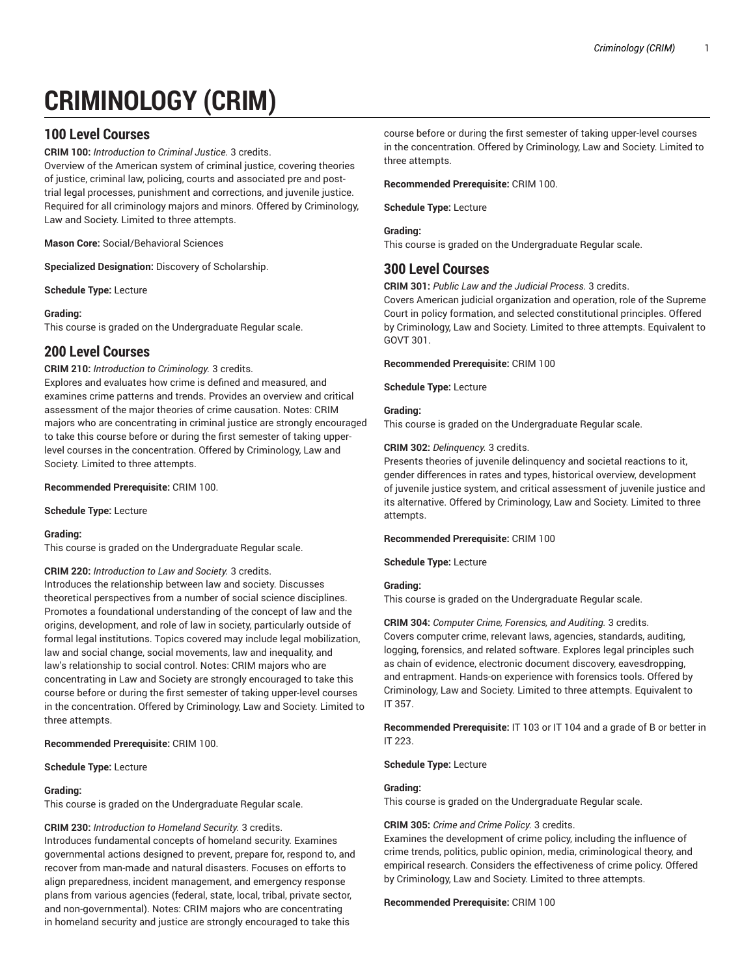# **CRIMINOLOGY (CRIM)**

# **100 Level Courses**

**CRIM 100:** *Introduction to Criminal Justice.* 3 credits.

Overview of the American system of criminal justice, covering theories of justice, criminal law, policing, courts and associated pre and posttrial legal processes, punishment and corrections, and juvenile justice. Required for all criminology majors and minors. Offered by Criminology, Law and Society. Limited to three attempts.

**Mason Core:** Social/Behavioral Sciences

**Specialized Designation:** Discovery of Scholarship.

**Schedule Type:** Lecture

# **Grading:**

This course is graded on the Undergraduate Regular scale.

# **200 Level Courses**

# **CRIM 210:** *Introduction to Criminology.* 3 credits.

Explores and evaluates how crime is defined and measured, and examines crime patterns and trends. Provides an overview and critical assessment of the major theories of crime causation. Notes: CRIM majors who are concentrating in criminal justice are strongly encouraged to take this course before or during the first semester of taking upperlevel courses in the concentration. Offered by Criminology, Law and Society. Limited to three attempts.

**Recommended Prerequisite:** CRIM 100.

**Schedule Type:** Lecture

# **Grading:**

This course is graded on the Undergraduate Regular scale.

# **CRIM 220:** *Introduction to Law and Society.* 3 credits.

Introduces the relationship between law and society. Discusses theoretical perspectives from a number of social science disciplines. Promotes a foundational understanding of the concept of law and the origins, development, and role of law in society, particularly outside of formal legal institutions. Topics covered may include legal mobilization, law and social change, social movements, law and inequality, and law's relationship to social control. Notes: CRIM majors who are concentrating in Law and Society are strongly encouraged to take this course before or during the first semester of taking upper-level courses in the concentration. Offered by Criminology, Law and Society. Limited to three attempts.

# **Recommended Prerequisite:** CRIM 100.

**Schedule Type:** Lecture

# **Grading:**

This course is graded on the Undergraduate Regular scale.

# **CRIM 230:** *Introduction to Homeland Security.* 3 credits.

Introduces fundamental concepts of homeland security. Examines governmental actions designed to prevent, prepare for, respond to, and recover from man-made and natural disasters. Focuses on efforts to align preparedness, incident management, and emergency response plans from various agencies (federal, state, local, tribal, private sector, and non-governmental). Notes: CRIM majors who are concentrating in homeland security and justice are strongly encouraged to take this

course before or during the first semester of taking upper-level courses in the concentration. Offered by Criminology, Law and Society. Limited to three attempts.

**Recommended Prerequisite:** CRIM 100.

**Schedule Type:** Lecture

# **Grading:**

This course is graded on the Undergraduate Regular scale.

# **300 Level Courses**

**CRIM 301:** *Public Law and the Judicial Process.* 3 credits.

Covers American judicial organization and operation, role of the Supreme Court in policy formation, and selected constitutional principles. Offered by Criminology, Law and Society. Limited to three attempts. Equivalent to GOVT 301.

**Recommended Prerequisite:** CRIM 100

**Schedule Type:** Lecture

# **Grading:**

This course is graded on the Undergraduate Regular scale.

# **CRIM 302:** *Delinquency.* 3 credits.

Presents theories of juvenile delinquency and societal reactions to it, gender differences in rates and types, historical overview, development of juvenile justice system, and critical assessment of juvenile justice and its alternative. Offered by Criminology, Law and Society. Limited to three attempts.

**Recommended Prerequisite:** CRIM 100

**Schedule Type:** Lecture

# **Grading:**

This course is graded on the Undergraduate Regular scale.

**CRIM 304:** *Computer Crime, Forensics, and Auditing.* 3 credits. Covers computer crime, relevant laws, agencies, standards, auditing, logging, forensics, and related software. Explores legal principles such as chain of evidence, electronic document discovery, eavesdropping, and entrapment. Hands-on experience with forensics tools. Offered by Criminology, Law and Society. Limited to three attempts. Equivalent to IT 357.

**Recommended Prerequisite:** IT 103 or IT 104 and a grade of B or better in IT 223.

**Schedule Type:** Lecture

# **Grading:**

This course is graded on the Undergraduate Regular scale.

# **CRIM 305:** *Crime and Crime Policy.* 3 credits.

Examines the development of crime policy, including the influence of crime trends, politics, public opinion, media, criminological theory, and empirical research. Considers the effectiveness of crime policy. Offered by Criminology, Law and Society. Limited to three attempts.

#### **Recommended Prerequisite:** CRIM 100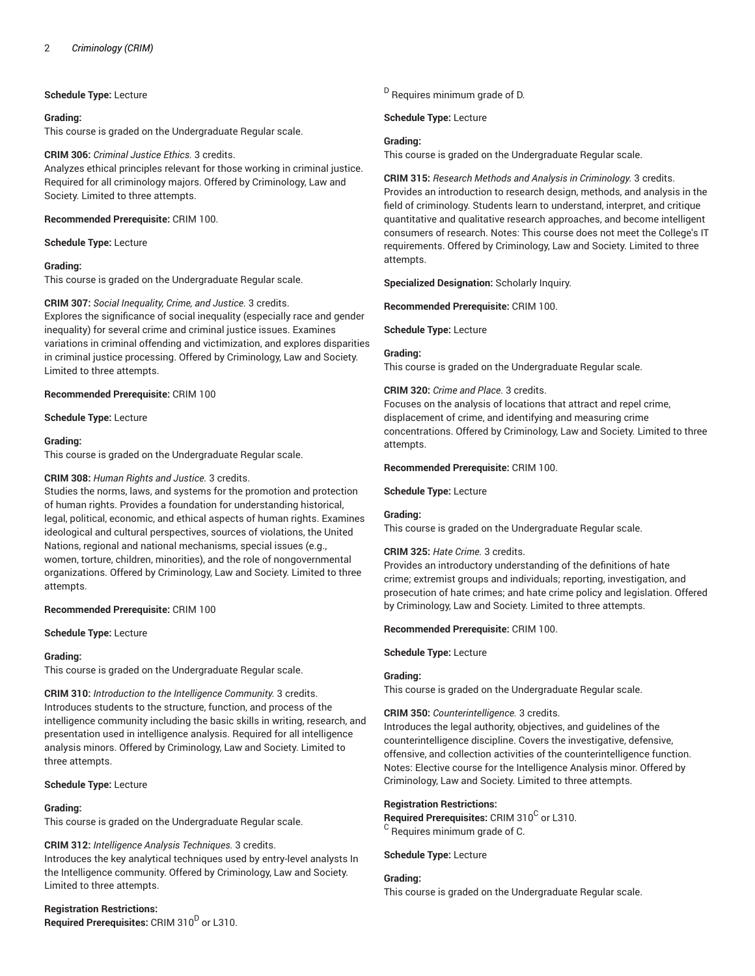# **Schedule Type:** Lecture

# **Grading:**

This course is graded on the Undergraduate Regular scale.

# **CRIM 306:** *Criminal Justice Ethics.* 3 credits.

Analyzes ethical principles relevant for those working in criminal justice. Required for all criminology majors. Offered by Criminology, Law and Society. Limited to three attempts.

# **Recommended Prerequisite:** CRIM 100.

# **Schedule Type:** Lecture

# **Grading:**

This course is graded on the Undergraduate Regular scale.

# **CRIM 307:** *Social Inequality, Crime, and Justice.* 3 credits. Explores the significance of social inequality (especially race and gender inequality) for several crime and criminal justice issues. Examines variations in criminal offending and victimization, and explores disparities in criminal justice processing. Offered by Criminology, Law and Society. Limited to three attempts.

# **Recommended Prerequisite:** CRIM 100

**Schedule Type:** Lecture

# **Grading:**

This course is graded on the Undergraduate Regular scale.

# **CRIM 308:** *Human Rights and Justice.* 3 credits.

Studies the norms, laws, and systems for the promotion and protection of human rights. Provides a foundation for understanding historical, legal, political, economic, and ethical aspects of human rights. Examines ideological and cultural perspectives, sources of violations, the United Nations, regional and national mechanisms, special issues (e.g., women, torture, children, minorities), and the role of nongovernmental organizations. Offered by Criminology, Law and Society. Limited to three attempts.

# **Recommended Prerequisite:** CRIM 100

**Schedule Type:** Lecture

# **Grading:**

This course is graded on the Undergraduate Regular scale.

**CRIM 310:** *Introduction to the Intelligence Community.* 3 credits. Introduces students to the structure, function, and process of the intelligence community including the basic skills in writing, research, and presentation used in intelligence analysis. Required for all intelligence analysis minors. Offered by Criminology, Law and Society. Limited to three attempts.

# **Schedule Type:** Lecture

# **Grading:**

This course is graded on the Undergraduate Regular scale.

# **CRIM 312:** *Intelligence Analysis Techniques.* 3 credits.

Introduces the key analytical techniques used by entry-level analysts In the Intelligence community. Offered by Criminology, Law and Society. Limited to three attempts.

# **Registration Restrictions:** Required Prerequisites: CRIM 310<sup>D</sup> or L310.

<sup>D</sup> Requires minimum grade of D.

**Schedule Type:** Lecture

# **Grading:**

This course is graded on the Undergraduate Regular scale.

**CRIM 315:** *Research Methods and Analysis in Criminology.* 3 credits. Provides an introduction to research design, methods, and analysis in the field of criminology. Students learn to understand, interpret, and critique quantitative and qualitative research approaches, and become intelligent consumers of research. Notes: This course does not meet the College's IT requirements. Offered by Criminology, Law and Society. Limited to three attempts.

**Specialized Designation:** Scholarly Inquiry.

**Recommended Prerequisite:** CRIM 100.

**Schedule Type:** Lecture

# **Grading:**

This course is graded on the Undergraduate Regular scale.

# **CRIM 320:** *Crime and Place.* 3 credits.

Focuses on the analysis of locations that attract and repel crime, displacement of crime, and identifying and measuring crime concentrations. Offered by Criminology, Law and Society. Limited to three attempts.

# **Recommended Prerequisite:** CRIM 100.

**Schedule Type:** Lecture

# **Grading:**

This course is graded on the Undergraduate Regular scale.

# **CRIM 325:** *Hate Crime.* 3 credits.

Provides an introductory understanding of the definitions of hate crime; extremist groups and individuals; reporting, investigation, and prosecution of hate crimes; and hate crime policy and legislation. Offered by Criminology, Law and Society. Limited to three attempts.

**Recommended Prerequisite:** CRIM 100.

**Schedule Type:** Lecture

# **Grading:**

This course is graded on the Undergraduate Regular scale.

# **CRIM 350:** *Counterintelligence.* 3 credits.

Introduces the legal authority, objectives, and guidelines of the counterintelligence discipline. Covers the investigative, defensive, offensive, and collection activities of the counterintelligence function. Notes: Elective course for the Intelligence Analysis minor. Offered by Criminology, Law and Society. Limited to three attempts.

# **Registration Restrictions:**

Required Prerequisites: CRIM 310<sup>C</sup> or L310. <sup>C</sup> Requires minimum grade of C.

**Schedule Type:** Lecture

# **Grading:**

This course is graded on the Undergraduate Regular scale.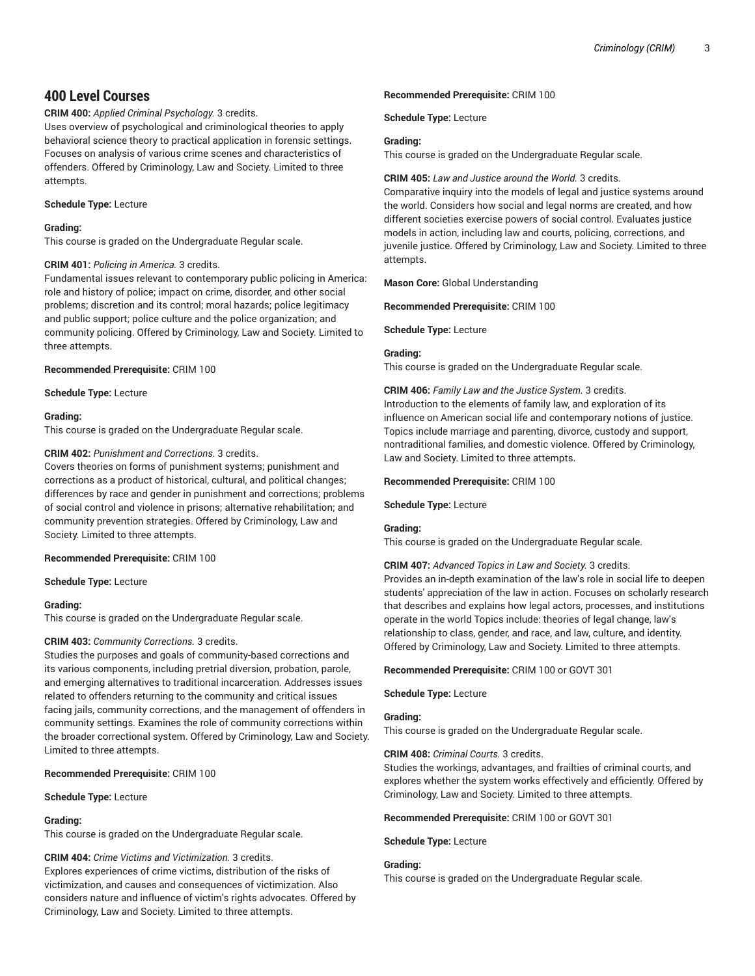# **400 Level Courses**

# **CRIM 400:** *Applied Criminal Psychology.* 3 credits.

Uses overview of psychological and criminological theories to apply behavioral science theory to practical application in forensic settings. Focuses on analysis of various crime scenes and characteristics of offenders. Offered by Criminology, Law and Society. Limited to three attempts.

# **Schedule Type:** Lecture

# **Grading:**

This course is graded on the Undergraduate Regular scale.

# **CRIM 401:** *Policing in America.* 3 credits.

Fundamental issues relevant to contemporary public policing in America: role and history of police; impact on crime, disorder, and other social problems; discretion and its control; moral hazards; police legitimacy and public support; police culture and the police organization; and community policing. Offered by Criminology, Law and Society. Limited to three attempts.

# **Recommended Prerequisite:** CRIM 100

**Schedule Type:** Lecture

# **Grading:**

This course is graded on the Undergraduate Regular scale.

# **CRIM 402:** *Punishment and Corrections.* 3 credits.

Covers theories on forms of punishment systems; punishment and corrections as a product of historical, cultural, and political changes; differences by race and gender in punishment and corrections; problems of social control and violence in prisons; alternative rehabilitation; and community prevention strategies. Offered by Criminology, Law and Society. Limited to three attempts.

# **Recommended Prerequisite:** CRIM 100

**Schedule Type:** Lecture

# **Grading:**

This course is graded on the Undergraduate Regular scale.

# **CRIM 403:** *Community Corrections.* 3 credits.

Studies the purposes and goals of community-based corrections and its various components, including pretrial diversion, probation, parole, and emerging alternatives to traditional incarceration. Addresses issues related to offenders returning to the community and critical issues facing jails, community corrections, and the management of offenders in community settings. Examines the role of community corrections within the broader correctional system. Offered by Criminology, Law and Society. Limited to three attempts.

# **Recommended Prerequisite:** CRIM 100

**Schedule Type:** Lecture

# **Grading:**

This course is graded on the Undergraduate Regular scale.

# **CRIM 404:** *Crime Victims and Victimization.* 3 credits.

Explores experiences of crime victims, distribution of the risks of victimization, and causes and consequences of victimization. Also considers nature and influence of victim's rights advocates. Offered by Criminology, Law and Society. Limited to three attempts.

# **Recommended Prerequisite:** CRIM 100

**Schedule Type:** Lecture

# **Grading:**

This course is graded on the Undergraduate Regular scale.

# **CRIM 405:** *Law and Justice around the World.* 3 credits.

Comparative inquiry into the models of legal and justice systems around the world. Considers how social and legal norms are created, and how different societies exercise powers of social control. Evaluates justice models in action, including law and courts, policing, corrections, and juvenile justice. Offered by Criminology, Law and Society. Limited to three attempts.

**Mason Core:** Global Understanding

**Recommended Prerequisite:** CRIM 100

# **Schedule Type:** Lecture

# **Grading:**

This course is graded on the Undergraduate Regular scale.

# **CRIM 406:** *Family Law and the Justice System.* 3 credits.

Introduction to the elements of family law, and exploration of its influence on American social life and contemporary notions of justice. Topics include marriage and parenting, divorce, custody and support, nontraditional families, and domestic violence. Offered by Criminology, Law and Society. Limited to three attempts.

# **Recommended Prerequisite:** CRIM 100

**Schedule Type:** Lecture

# **Grading:**

This course is graded on the Undergraduate Regular scale.

# **CRIM 407:** *Advanced Topics in Law and Society.* 3 credits.

Provides an in-depth examination of the law's role in social life to deepen students' appreciation of the law in action. Focuses on scholarly research that describes and explains how legal actors, processes, and institutions operate in the world Topics include: theories of legal change, law's relationship to class, gender, and race, and law, culture, and identity. Offered by Criminology, Law and Society. Limited to three attempts.

**Recommended Prerequisite:** CRIM 100 or GOVT 301

**Schedule Type:** Lecture

# **Grading:**

This course is graded on the Undergraduate Regular scale.

# **CRIM 408:** *Criminal Courts.* 3 credits.

Studies the workings, advantages, and frailties of criminal courts, and explores whether the system works effectively and efficiently. Offered by Criminology, Law and Society. Limited to three attempts.

# **Recommended Prerequisite:** CRIM 100 or GOVT 301

**Schedule Type:** Lecture

# **Grading:**

This course is graded on the Undergraduate Regular scale.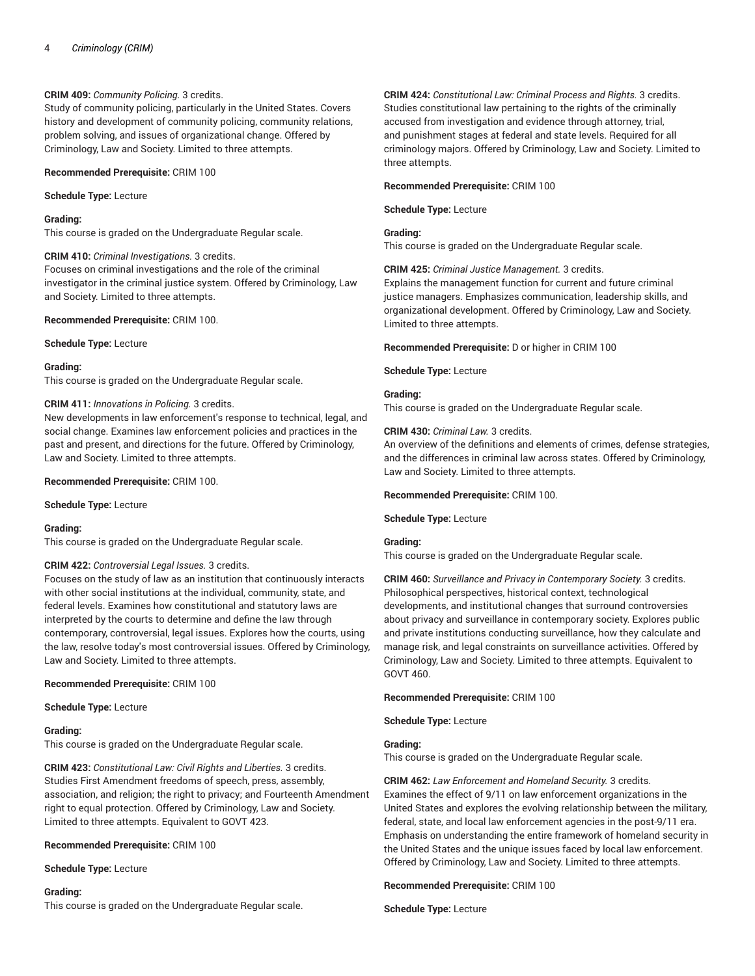# **CRIM 409:** *Community Policing.* 3 credits.

Study of community policing, particularly in the United States. Covers history and development of community policing, community relations, problem solving, and issues of organizational change. Offered by Criminology, Law and Society. Limited to three attempts.

# **Recommended Prerequisite:** CRIM 100

**Schedule Type:** Lecture

# **Grading:**

This course is graded on the Undergraduate Regular scale.

# **CRIM 410:** *Criminal Investigations.* 3 credits.

Focuses on criminal investigations and the role of the criminal investigator in the criminal justice system. Offered by Criminology, Law and Society. Limited to three attempts.

# **Recommended Prerequisite:** CRIM 100.

**Schedule Type:** Lecture

# **Grading:**

This course is graded on the Undergraduate Regular scale.

# **CRIM 411:** *Innovations in Policing.* 3 credits.

New developments in law enforcement's response to technical, legal, and social change. Examines law enforcement policies and practices in the past and present, and directions for the future. Offered by Criminology, Law and Society. Limited to three attempts.

# **Recommended Prerequisite:** CRIM 100.

**Schedule Type:** Lecture

# **Grading:**

This course is graded on the Undergraduate Regular scale.

# **CRIM 422:** *Controversial Legal Issues.* 3 credits.

Focuses on the study of law as an institution that continuously interacts with other social institutions at the individual, community, state, and federal levels. Examines how constitutional and statutory laws are interpreted by the courts to determine and define the law through contemporary, controversial, legal issues. Explores how the courts, using the law, resolve today's most controversial issues. Offered by Criminology, Law and Society. Limited to three attempts.

# **Recommended Prerequisite:** CRIM 100

**Schedule Type:** Lecture

# **Grading:**

This course is graded on the Undergraduate Regular scale.

**CRIM 423:** *Constitutional Law: Civil Rights and Liberties.* 3 credits. Studies First Amendment freedoms of speech, press, assembly, association, and religion; the right to privacy; and Fourteenth Amendment right to equal protection. Offered by Criminology, Law and Society. Limited to three attempts. Equivalent to GOVT 423.

# **Recommended Prerequisite:** CRIM 100

**Schedule Type:** Lecture

# **Grading:**

This course is graded on the Undergraduate Regular scale.

**CRIM 424:** *Constitutional Law: Criminal Process and Rights.* 3 credits. Studies constitutional law pertaining to the rights of the criminally accused from investigation and evidence through attorney, trial, and punishment stages at federal and state levels. Required for all criminology majors. Offered by Criminology, Law and Society. Limited to three attempts.

# **Recommended Prerequisite:** CRIM 100

**Schedule Type:** Lecture

# **Grading:**

This course is graded on the Undergraduate Regular scale.

**CRIM 425:** *Criminal Justice Management.* 3 credits.

Explains the management function for current and future criminal justice managers. Emphasizes communication, leadership skills, and organizational development. Offered by Criminology, Law and Society. Limited to three attempts.

# **Recommended Prerequisite:** D or higher in CRIM 100

# **Schedule Type:** Lecture

# **Grading:**

This course is graded on the Undergraduate Regular scale.

# **CRIM 430:** *Criminal Law.* 3 credits.

An overview of the definitions and elements of crimes, defense strategies, and the differences in criminal law across states. Offered by Criminology, Law and Society. Limited to three attempts.

# **Recommended Prerequisite:** CRIM 100.

**Schedule Type:** Lecture

# **Grading:**

This course is graded on the Undergraduate Regular scale.

**CRIM 460:** *Surveillance and Privacy in Contemporary Society.* 3 credits. Philosophical perspectives, historical context, technological developments, and institutional changes that surround controversies about privacy and surveillance in contemporary society. Explores public and private institutions conducting surveillance, how they calculate and manage risk, and legal constraints on surveillance activities. Offered by Criminology, Law and Society. Limited to three attempts. Equivalent to GOVT 460.

**Recommended Prerequisite:** CRIM 100

**Schedule Type:** Lecture

# **Grading:**

This course is graded on the Undergraduate Regular scale.

# **CRIM 462:** *Law Enforcement and Homeland Security.* 3 credits.

Examines the effect of 9/11 on law enforcement organizations in the United States and explores the evolving relationship between the military, federal, state, and local law enforcement agencies in the post-9/11 era. Emphasis on understanding the entire framework of homeland security in the United States and the unique issues faced by local law enforcement. Offered by Criminology, Law and Society. Limited to three attempts.

# **Recommended Prerequisite:** CRIM 100

**Schedule Type:** Lecture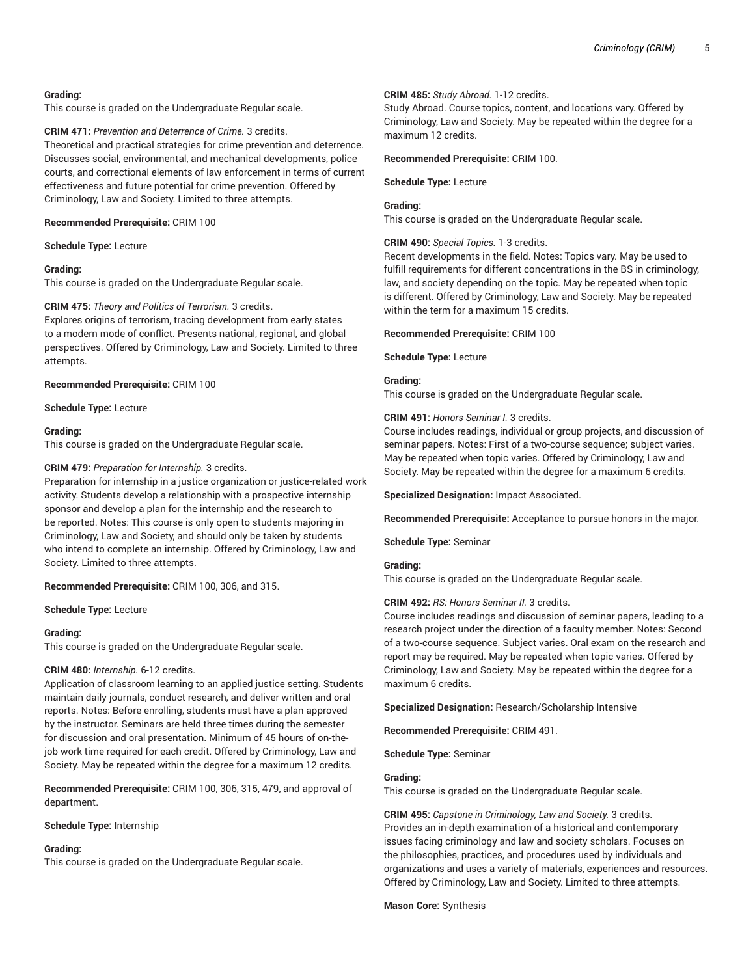# **Grading:**

This course is graded on the Undergraduate Regular scale.

**CRIM 471:** *Prevention and Deterrence of Crime.* 3 credits.

Theoretical and practical strategies for crime prevention and deterrence. Discusses social, environmental, and mechanical developments, police courts, and correctional elements of law enforcement in terms of current effectiveness and future potential for crime prevention. Offered by Criminology, Law and Society. Limited to three attempts.

#### **Recommended Prerequisite:** CRIM 100

**Schedule Type:** Lecture

# **Grading:**

This course is graded on the Undergraduate Regular scale.

# **CRIM 475:** *Theory and Politics of Terrorism.* 3 credits.

Explores origins of terrorism, tracing development from early states to a modern mode of conflict. Presents national, regional, and global perspectives. Offered by Criminology, Law and Society. Limited to three attempts.

**Recommended Prerequisite:** CRIM 100

**Schedule Type:** Lecture

# **Grading:**

This course is graded on the Undergraduate Regular scale.

# **CRIM 479:** *Preparation for Internship.* 3 credits.

Preparation for internship in a justice organization or justice-related work activity. Students develop a relationship with a prospective internship sponsor and develop a plan for the internship and the research to be reported. Notes: This course is only open to students majoring in Criminology, Law and Society, and should only be taken by students who intend to complete an internship. Offered by Criminology, Law and Society. Limited to three attempts.

# **Recommended Prerequisite:** CRIM 100, 306, and 315.

**Schedule Type:** Lecture

# **Grading:**

This course is graded on the Undergraduate Regular scale.

# **CRIM 480:** *Internship.* 6-12 credits.

Application of classroom learning to an applied justice setting. Students maintain daily journals, conduct research, and deliver written and oral reports. Notes: Before enrolling, students must have a plan approved by the instructor. Seminars are held three times during the semester for discussion and oral presentation. Minimum of 45 hours of on-thejob work time required for each credit. Offered by Criminology, Law and Society. May be repeated within the degree for a maximum 12 credits.

**Recommended Prerequisite:** CRIM 100, 306, 315, 479, and approval of department.

# **Schedule Type:** Internship

# **Grading:**

This course is graded on the Undergraduate Regular scale.

# **CRIM 485:** *Study Abroad.* 1-12 credits.

Study Abroad. Course topics, content, and locations vary. Offered by Criminology, Law and Society. May be repeated within the degree for a maximum 12 credits.

# **Recommended Prerequisite:** CRIM 100.

**Schedule Type:** Lecture

# **Grading:**

This course is graded on the Undergraduate Regular scale.

# **CRIM 490:** *Special Topics.* 1-3 credits.

Recent developments in the field. Notes: Topics vary. May be used to fulfill requirements for different concentrations in the BS in criminology, law, and society depending on the topic. May be repeated when topic is different. Offered by Criminology, Law and Society. May be repeated within the term for a maximum 15 credits.

#### **Recommended Prerequisite:** CRIM 100

**Schedule Type:** Lecture

# **Grading:**

This course is graded on the Undergraduate Regular scale.

# **CRIM 491:** *Honors Seminar I.* 3 credits.

Course includes readings, individual or group projects, and discussion of seminar papers. Notes: First of a two-course sequence; subject varies. May be repeated when topic varies. Offered by Criminology, Law and Society. May be repeated within the degree for a maximum 6 credits.

**Specialized Designation:** Impact Associated.

**Recommended Prerequisite:** Acceptance to pursue honors in the major.

**Schedule Type:** Seminar

# **Grading:**

This course is graded on the Undergraduate Regular scale.

# **CRIM 492:** *RS: Honors Seminar II.* 3 credits.

Course includes readings and discussion of seminar papers, leading to a research project under the direction of a faculty member. Notes: Second of a two-course sequence. Subject varies. Oral exam on the research and report may be required. May be repeated when topic varies. Offered by Criminology, Law and Society. May be repeated within the degree for a maximum 6 credits.

**Specialized Designation:** Research/Scholarship Intensive

**Recommended Prerequisite:** CRIM 491.

**Schedule Type:** Seminar

# **Grading:**

This course is graded on the Undergraduate Regular scale.

**CRIM 495:** *Capstone in Criminology, Law and Society.* 3 credits. Provides an in-depth examination of a historical and contemporary issues facing criminology and law and society scholars. Focuses on the philosophies, practices, and procedures used by individuals and organizations and uses a variety of materials, experiences and resources. Offered by Criminology, Law and Society. Limited to three attempts.

# **Mason Core:** Synthesis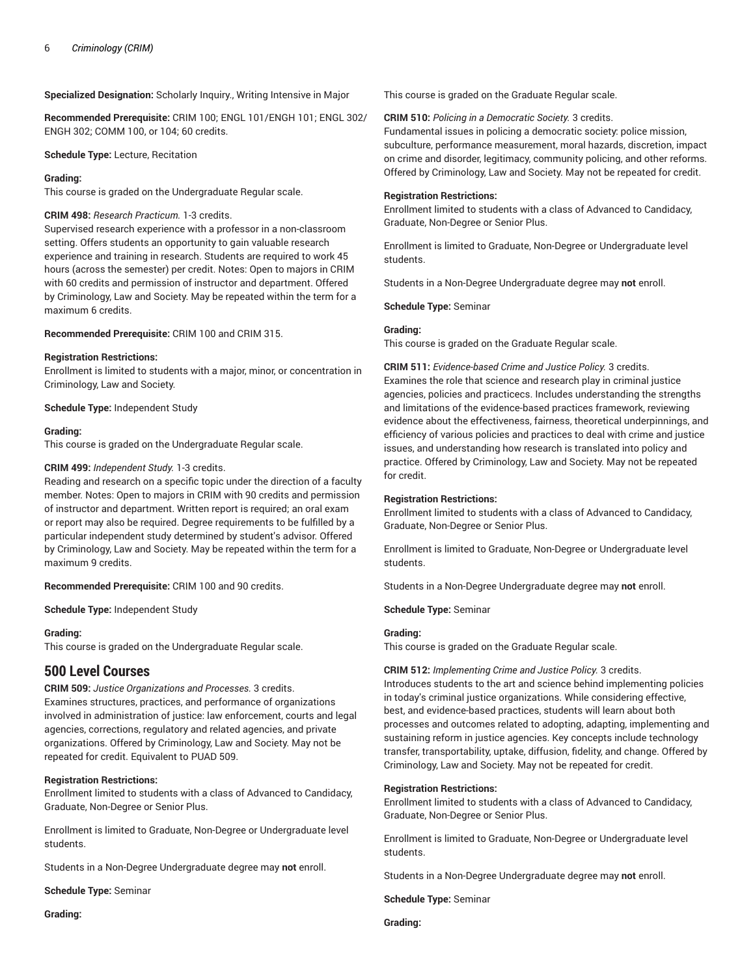#### **Specialized Designation:** Scholarly Inquiry., Writing Intensive in Major

**Recommended Prerequisite:** CRIM 100; ENGL 101/ENGH 101; ENGL 302/ ENGH 302; COMM 100, or 104; 60 credits.

**Schedule Type:** Lecture, Recitation

#### **Grading:**

This course is graded on the Undergraduate Regular scale.

# **CRIM 498:** *Research Practicum.* 1-3 credits.

Supervised research experience with a professor in a non-classroom setting. Offers students an opportunity to gain valuable research experience and training in research. Students are required to work 45 hours (across the semester) per credit. Notes: Open to majors in CRIM with 60 credits and permission of instructor and department. Offered by Criminology, Law and Society. May be repeated within the term for a maximum 6 credits.

#### **Recommended Prerequisite:** CRIM 100 and CRIM 315.

#### **Registration Restrictions:**

Enrollment is limited to students with a major, minor, or concentration in Criminology, Law and Society.

**Schedule Type:** Independent Study

#### **Grading:**

This course is graded on the Undergraduate Regular scale.

#### **CRIM 499:** *Independent Study.* 1-3 credits.

Reading and research on a specific topic under the direction of a faculty member. Notes: Open to majors in CRIM with 90 credits and permission of instructor and department. Written report is required; an oral exam or report may also be required. Degree requirements to be fulfilled by a particular independent study determined by student's advisor. Offered by Criminology, Law and Society. May be repeated within the term for a maximum 9 credits.

**Recommended Prerequisite:** CRIM 100 and 90 credits.

**Schedule Type:** Independent Study

# **Grading:**

This course is graded on the Undergraduate Regular scale.

# **500 Level Courses**

**CRIM 509:** *Justice Organizations and Processes.* 3 credits. Examines structures, practices, and performance of organizations involved in administration of justice: law enforcement, courts and legal agencies, corrections, regulatory and related agencies, and private organizations. Offered by Criminology, Law and Society. May not be repeated for credit. Equivalent to PUAD 509.

# **Registration Restrictions:**

Enrollment limited to students with a class of Advanced to Candidacy, Graduate, Non-Degree or Senior Plus.

Enrollment is limited to Graduate, Non-Degree or Undergraduate level students.

Students in a Non-Degree Undergraduate degree may **not** enroll.

**Schedule Type:** Seminar

**Grading:**

This course is graded on the Graduate Regular scale.

#### **CRIM 510:** *Policing in a Democratic Society.* 3 credits.

Fundamental issues in policing a democratic society: police mission, subculture, performance measurement, moral hazards, discretion, impact on crime and disorder, legitimacy, community policing, and other reforms. Offered by Criminology, Law and Society. May not be repeated for credit.

#### **Registration Restrictions:**

Enrollment limited to students with a class of Advanced to Candidacy, Graduate, Non-Degree or Senior Plus.

Enrollment is limited to Graduate, Non-Degree or Undergraduate level students.

Students in a Non-Degree Undergraduate degree may **not** enroll.

**Schedule Type:** Seminar

# **Grading:**

This course is graded on the Graduate Regular scale.

**CRIM 511:** *Evidence-based Crime and Justice Policy.* 3 credits. Examines the role that science and research play in criminal justice agencies, policies and practicecs. Includes understanding the strengths and limitations of the evidence-based practices framework, reviewing evidence about the effectiveness, fairness, theoretical underpinnings, and efficiency of various policies and practices to deal with crime and justice issues, and understanding how research is translated into policy and practice. Offered by Criminology, Law and Society. May not be repeated for credit.

# **Registration Restrictions:**

Enrollment limited to students with a class of Advanced to Candidacy, Graduate, Non-Degree or Senior Plus.

Enrollment is limited to Graduate, Non-Degree or Undergraduate level students.

Students in a Non-Degree Undergraduate degree may **not** enroll.

**Schedule Type:** Seminar

# **Grading:**

This course is graded on the Graduate Regular scale.

**CRIM 512:** *Implementing Crime and Justice Policy.* 3 credits. Introduces students to the art and science behind implementing policies in today's criminal justice organizations. While considering effective, best, and evidence-based practices, students will learn about both processes and outcomes related to adopting, adapting, implementing and sustaining reform in justice agencies. Key concepts include technology transfer, transportability, uptake, diffusion, fidelity, and change. Offered by Criminology, Law and Society. May not be repeated for credit.

#### **Registration Restrictions:**

Enrollment limited to students with a class of Advanced to Candidacy, Graduate, Non-Degree or Senior Plus.

Enrollment is limited to Graduate, Non-Degree or Undergraduate level students.

Students in a Non-Degree Undergraduate degree may **not** enroll.

**Schedule Type:** Seminar

**Grading:**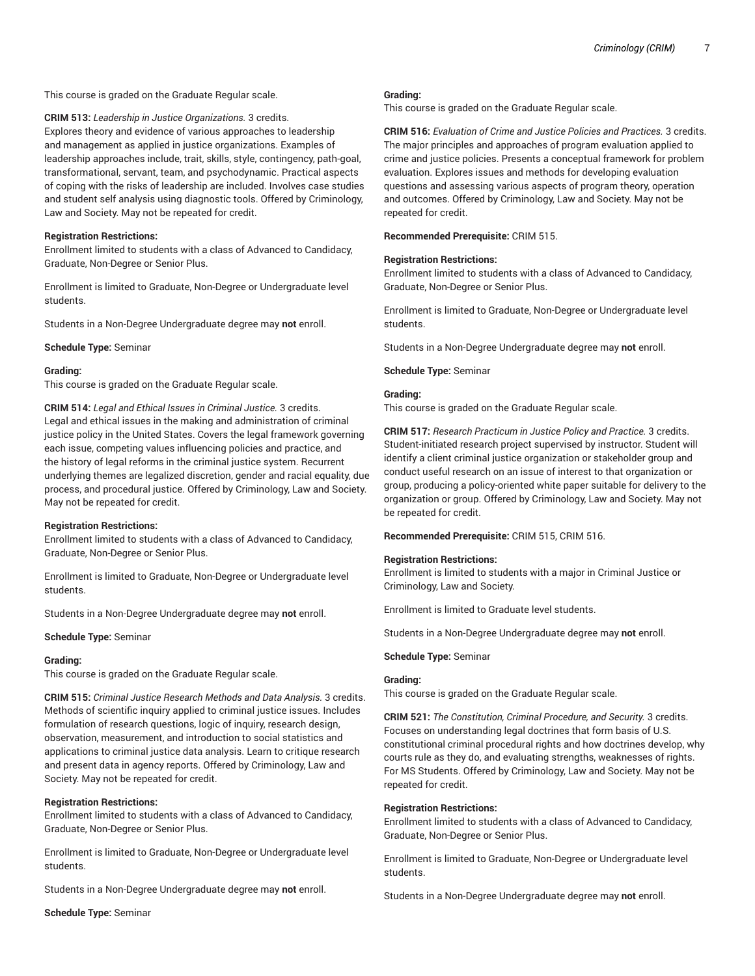This course is graded on the Graduate Regular scale.

**CRIM 513:** *Leadership in Justice Organizations.* 3 credits. Explores theory and evidence of various approaches to leadership and management as applied in justice organizations. Examples of leadership approaches include, trait, skills, style, contingency, path-goal, transformational, servant, team, and psychodynamic. Practical aspects of coping with the risks of leadership are included. Involves case studies and student self analysis using diagnostic tools. Offered by Criminology, Law and Society. May not be repeated for credit.

# **Registration Restrictions:**

Enrollment limited to students with a class of Advanced to Candidacy, Graduate, Non-Degree or Senior Plus.

Enrollment is limited to Graduate, Non-Degree or Undergraduate level students.

Students in a Non-Degree Undergraduate degree may **not** enroll.

**Schedule Type:** Seminar

#### **Grading:**

This course is graded on the Graduate Regular scale.

**CRIM 514:** *Legal and Ethical Issues in Criminal Justice.* 3 credits. Legal and ethical issues in the making and administration of criminal justice policy in the United States. Covers the legal framework governing each issue, competing values influencing policies and practice, and the history of legal reforms in the criminal justice system. Recurrent underlying themes are legalized discretion, gender and racial equality, due process, and procedural justice. Offered by Criminology, Law and Society. May not be repeated for credit.

# **Registration Restrictions:**

Enrollment limited to students with a class of Advanced to Candidacy, Graduate, Non-Degree or Senior Plus.

Enrollment is limited to Graduate, Non-Degree or Undergraduate level students.

Students in a Non-Degree Undergraduate degree may **not** enroll.

**Schedule Type:** Seminar

#### **Grading:**

This course is graded on the Graduate Regular scale.

**CRIM 515:** *Criminal Justice Research Methods and Data Analysis.* 3 credits. Methods of scientific inquiry applied to criminal justice issues. Includes formulation of research questions, logic of inquiry, research design, observation, measurement, and introduction to social statistics and applications to criminal justice data analysis. Learn to critique research and present data in agency reports. Offered by Criminology, Law and Society. May not be repeated for credit.

# **Registration Restrictions:**

Enrollment limited to students with a class of Advanced to Candidacy, Graduate, Non-Degree or Senior Plus.

Enrollment is limited to Graduate, Non-Degree or Undergraduate level students.

Students in a Non-Degree Undergraduate degree may **not** enroll.

**Schedule Type:** Seminar

#### **Grading:**

This course is graded on the Graduate Regular scale.

**CRIM 516:** *Evaluation of Crime and Justice Policies and Practices.* 3 credits. The major principles and approaches of program evaluation applied to crime and justice policies. Presents a conceptual framework for problem evaluation. Explores issues and methods for developing evaluation questions and assessing various aspects of program theory, operation and outcomes. Offered by Criminology, Law and Society. May not be repeated for credit.

**Recommended Prerequisite:** CRIM 515.

#### **Registration Restrictions:**

Enrollment limited to students with a class of Advanced to Candidacy, Graduate, Non-Degree or Senior Plus.

Enrollment is limited to Graduate, Non-Degree or Undergraduate level students.

Students in a Non-Degree Undergraduate degree may **not** enroll.

**Schedule Type:** Seminar

# **Grading:**

This course is graded on the Graduate Regular scale.

**CRIM 517:** *Research Practicum in Justice Policy and Practice.* 3 credits. Student-initiated research project supervised by instructor. Student will identify a client criminal justice organization or stakeholder group and conduct useful research on an issue of interest to that organization or group, producing a policy-oriented white paper suitable for delivery to the organization or group. Offered by Criminology, Law and Society. May not be repeated for credit.

**Recommended Prerequisite:** CRIM 515, CRIM 516.

# **Registration Restrictions:**

Enrollment is limited to students with a major in Criminal Justice or Criminology, Law and Society.

Enrollment is limited to Graduate level students.

Students in a Non-Degree Undergraduate degree may **not** enroll.

# **Schedule Type:** Seminar

# **Grading:**

This course is graded on the Graduate Regular scale.

**CRIM 521:** *The Constitution, Criminal Procedure, and Security.* 3 credits. Focuses on understanding legal doctrines that form basis of U.S. constitutional criminal procedural rights and how doctrines develop, why courts rule as they do, and evaluating strengths, weaknesses of rights. For MS Students. Offered by Criminology, Law and Society. May not be repeated for credit.

# **Registration Restrictions:**

Enrollment limited to students with a class of Advanced to Candidacy, Graduate, Non-Degree or Senior Plus.

Enrollment is limited to Graduate, Non-Degree or Undergraduate level students.

Students in a Non-Degree Undergraduate degree may **not** enroll.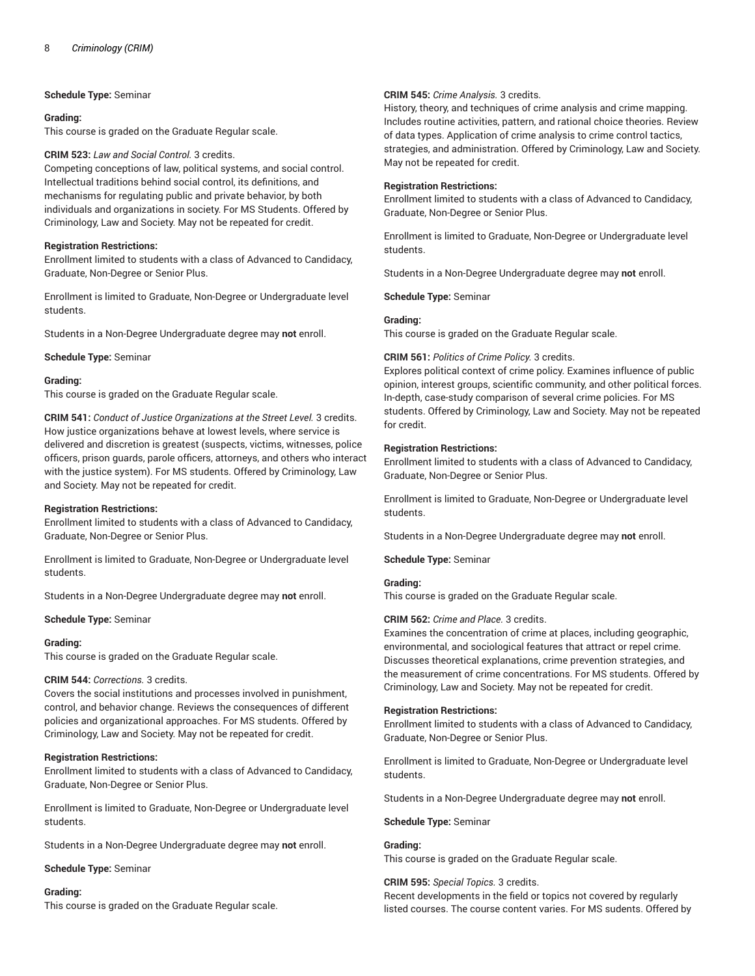**Schedule Type:** Seminar

#### **Grading:**

This course is graded on the Graduate Regular scale.

## **CRIM 523:** *Law and Social Control.* 3 credits.

Competing conceptions of law, political systems, and social control. Intellectual traditions behind social control, its definitions, and mechanisms for regulating public and private behavior, by both individuals and organizations in society. For MS Students. Offered by Criminology, Law and Society. May not be repeated for credit.

# **Registration Restrictions:**

Enrollment limited to students with a class of Advanced to Candidacy, Graduate, Non-Degree or Senior Plus.

Enrollment is limited to Graduate, Non-Degree or Undergraduate level students.

Students in a Non-Degree Undergraduate degree may **not** enroll.

**Schedule Type:** Seminar

#### **Grading:**

This course is graded on the Graduate Regular scale.

**CRIM 541:** *Conduct of Justice Organizations at the Street Level.* 3 credits. How justice organizations behave at lowest levels, where service is delivered and discretion is greatest (suspects, victims, witnesses, police officers, prison guards, parole officers, attorneys, and others who interact with the justice system). For MS students. Offered by Criminology, Law and Society. May not be repeated for credit.

# **Registration Restrictions:**

Enrollment limited to students with a class of Advanced to Candidacy, Graduate, Non-Degree or Senior Plus.

Enrollment is limited to Graduate, Non-Degree or Undergraduate level students.

Students in a Non-Degree Undergraduate degree may **not** enroll.

**Schedule Type:** Seminar

#### **Grading:**

This course is graded on the Graduate Regular scale.

#### **CRIM 544:** *Corrections.* 3 credits.

Covers the social institutions and processes involved in punishment, control, and behavior change. Reviews the consequences of different policies and organizational approaches. For MS students. Offered by Criminology, Law and Society. May not be repeated for credit.

# **Registration Restrictions:**

Enrollment limited to students with a class of Advanced to Candidacy, Graduate, Non-Degree or Senior Plus.

Enrollment is limited to Graduate, Non-Degree or Undergraduate level students.

Students in a Non-Degree Undergraduate degree may **not** enroll.

**Schedule Type:** Seminar

#### **Grading:**

This course is graded on the Graduate Regular scale.

# **CRIM 545:** *Crime Analysis.* 3 credits.

History, theory, and techniques of crime analysis and crime mapping. Includes routine activities, pattern, and rational choice theories. Review of data types. Application of crime analysis to crime control tactics, strategies, and administration. Offered by Criminology, Law and Society. May not be repeated for credit.

#### **Registration Restrictions:**

Enrollment limited to students with a class of Advanced to Candidacy, Graduate, Non-Degree or Senior Plus.

Enrollment is limited to Graduate, Non-Degree or Undergraduate level students.

Students in a Non-Degree Undergraduate degree may **not** enroll.

**Schedule Type:** Seminar

#### **Grading:**

This course is graded on the Graduate Regular scale.

# **CRIM 561:** *Politics of Crime Policy.* 3 credits.

Explores political context of crime policy. Examines influence of public opinion, interest groups, scientific community, and other political forces. In-depth, case-study comparison of several crime policies. For MS students. Offered by Criminology, Law and Society. May not be repeated for credit.

# **Registration Restrictions:**

Enrollment limited to students with a class of Advanced to Candidacy, Graduate, Non-Degree or Senior Plus.

Enrollment is limited to Graduate, Non-Degree or Undergraduate level students.

Students in a Non-Degree Undergraduate degree may **not** enroll.

**Schedule Type:** Seminar

# **Grading:**

This course is graded on the Graduate Regular scale.

# **CRIM 562:** *Crime and Place.* 3 credits.

Examines the concentration of crime at places, including geographic, environmental, and sociological features that attract or repel crime. Discusses theoretical explanations, crime prevention strategies, and the measurement of crime concentrations. For MS students. Offered by Criminology, Law and Society. May not be repeated for credit.

#### **Registration Restrictions:**

Enrollment limited to students with a class of Advanced to Candidacy, Graduate, Non-Degree or Senior Plus.

Enrollment is limited to Graduate, Non-Degree or Undergraduate level students.

Students in a Non-Degree Undergraduate degree may **not** enroll.

#### **Schedule Type:** Seminar

#### **Grading:**

This course is graded on the Graduate Regular scale.

#### **CRIM 595:** *Special Topics.* 3 credits.

Recent developments in the field or topics not covered by regularly listed courses. The course content varies. For MS sudents. Offered by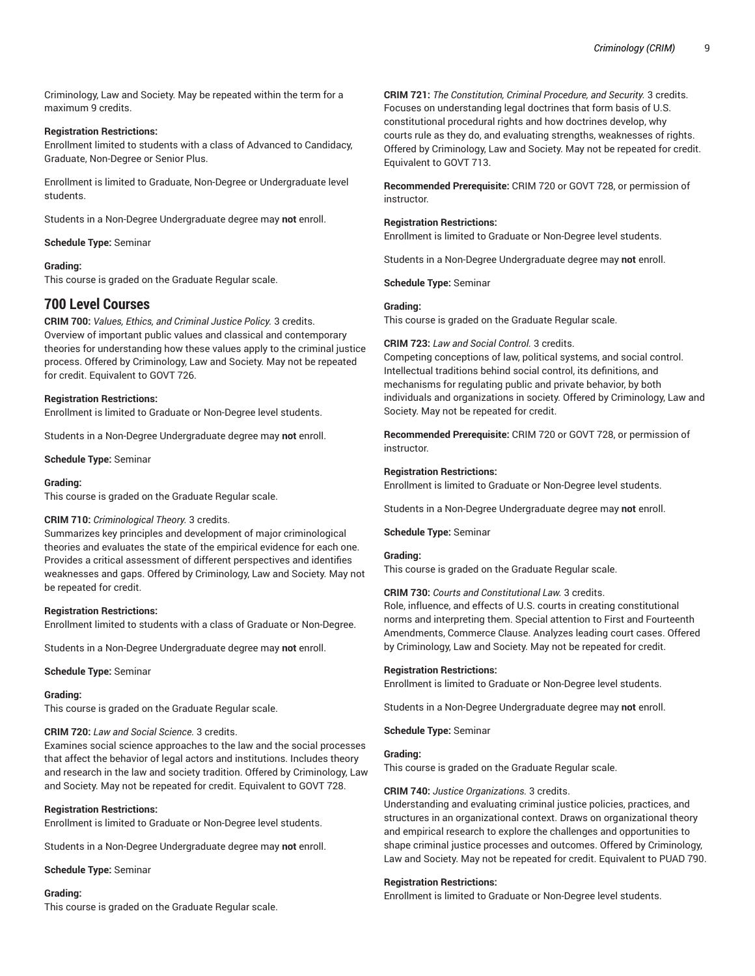Criminology, Law and Society. May be repeated within the term for a maximum 9 credits.

# **Registration Restrictions:**

Enrollment limited to students with a class of Advanced to Candidacy, Graduate, Non-Degree or Senior Plus.

Enrollment is limited to Graduate, Non-Degree or Undergraduate level students.

Students in a Non-Degree Undergraduate degree may **not** enroll.

# **Schedule Type:** Seminar

# **Grading:**

This course is graded on the Graduate Regular scale.

# **700 Level Courses**

**CRIM 700:** *Values, Ethics, and Criminal Justice Policy.* 3 credits. Overview of important public values and classical and contemporary theories for understanding how these values apply to the criminal justice process. Offered by Criminology, Law and Society. May not be repeated for credit. Equivalent to GOVT 726.

# **Registration Restrictions:**

Enrollment is limited to Graduate or Non-Degree level students.

Students in a Non-Degree Undergraduate degree may **not** enroll.

**Schedule Type:** Seminar

## **Grading:**

This course is graded on the Graduate Regular scale.

# **CRIM 710:** *Criminological Theory.* 3 credits.

Summarizes key principles and development of major criminological theories and evaluates the state of the empirical evidence for each one. Provides a critical assessment of different perspectives and identifies weaknesses and gaps. Offered by Criminology, Law and Society. May not be repeated for credit.

# **Registration Restrictions:**

Enrollment limited to students with a class of Graduate or Non-Degree.

Students in a Non-Degree Undergraduate degree may **not** enroll.

**Schedule Type:** Seminar

#### **Grading:**

This course is graded on the Graduate Regular scale.

# **CRIM 720:** *Law and Social Science.* 3 credits.

Examines social science approaches to the law and the social processes that affect the behavior of legal actors and institutions. Includes theory and research in the law and society tradition. Offered by Criminology, Law and Society. May not be repeated for credit. Equivalent to GOVT 728.

# **Registration Restrictions:**

Enrollment is limited to Graduate or Non-Degree level students.

Students in a Non-Degree Undergraduate degree may **not** enroll.

**Schedule Type:** Seminar

#### **Grading:**

This course is graded on the Graduate Regular scale.

**CRIM 721:** *The Constitution, Criminal Procedure, and Security.* 3 credits. Focuses on understanding legal doctrines that form basis of U.S. constitutional procedural rights and how doctrines develop, why courts rule as they do, and evaluating strengths, weaknesses of rights. Offered by Criminology, Law and Society. May not be repeated for credit. Equivalent to GOVT 713.

**Recommended Prerequisite:** CRIM 720 or GOVT 728, or permission of instructor.

# **Registration Restrictions:**

Enrollment is limited to Graduate or Non-Degree level students.

Students in a Non-Degree Undergraduate degree may **not** enroll.

**Schedule Type:** Seminar

# **Grading:**

This course is graded on the Graduate Regular scale.

# **CRIM 723:** *Law and Social Control.* 3 credits.

Competing conceptions of law, political systems, and social control. Intellectual traditions behind social control, its definitions, and mechanisms for regulating public and private behavior, by both individuals and organizations in society. Offered by Criminology, Law and Society. May not be repeated for credit.

**Recommended Prerequisite:** CRIM 720 or GOVT 728, or permission of instructor.

# **Registration Restrictions:**

Enrollment is limited to Graduate or Non-Degree level students.

Students in a Non-Degree Undergraduate degree may **not** enroll.

#### **Schedule Type:** Seminar

#### **Grading:**

This course is graded on the Graduate Regular scale.

#### **CRIM 730:** *Courts and Constitutional Law.* 3 credits.

Role, influence, and effects of U.S. courts in creating constitutional norms and interpreting them. Special attention to First and Fourteenth Amendments, Commerce Clause. Analyzes leading court cases. Offered by Criminology, Law and Society. May not be repeated for credit.

# **Registration Restrictions:**

Enrollment is limited to Graduate or Non-Degree level students.

Students in a Non-Degree Undergraduate degree may **not** enroll.

**Schedule Type:** Seminar

#### **Grading:**

This course is graded on the Graduate Regular scale.

# **CRIM 740:** *Justice Organizations.* 3 credits.

Understanding and evaluating criminal justice policies, practices, and structures in an organizational context. Draws on organizational theory and empirical research to explore the challenges and opportunities to shape criminal justice processes and outcomes. Offered by Criminology, Law and Society. May not be repeated for credit. Equivalent to PUAD 790.

#### **Registration Restrictions:**

Enrollment is limited to Graduate or Non-Degree level students.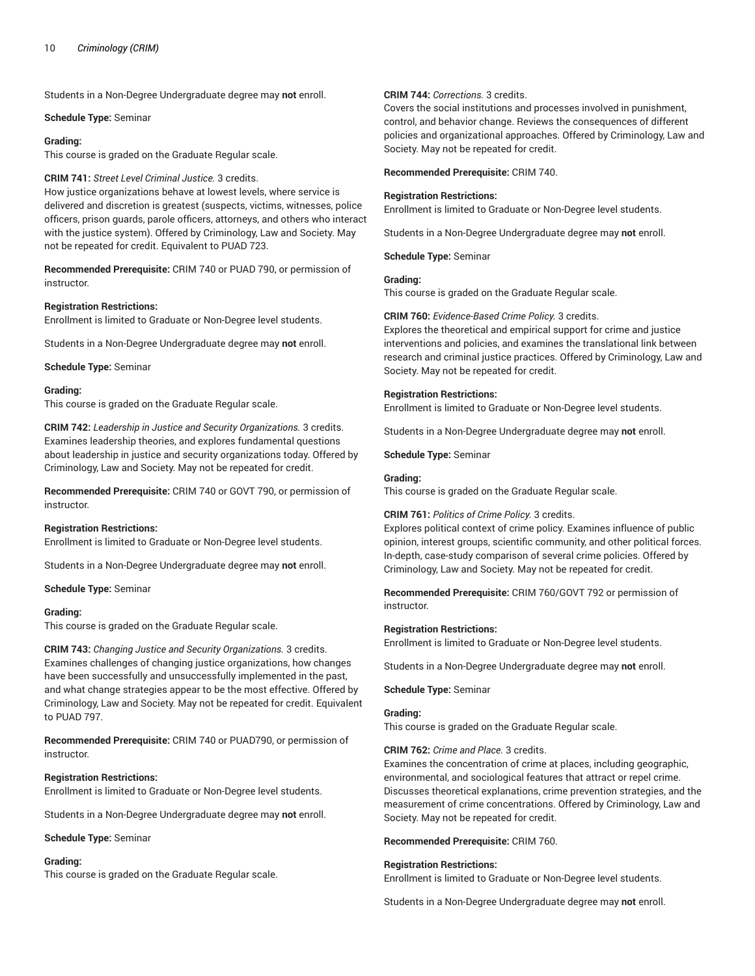Students in a Non-Degree Undergraduate degree may **not** enroll.

**Schedule Type:** Seminar

#### **Grading:**

This course is graded on the Graduate Regular scale.

## **CRIM 741:** *Street Level Criminal Justice.* 3 credits.

How justice organizations behave at lowest levels, where service is delivered and discretion is greatest (suspects, victims, witnesses, police officers, prison guards, parole officers, attorneys, and others who interact with the justice system). Offered by Criminology, Law and Society. May not be repeated for credit. Equivalent to PUAD 723.

**Recommended Prerequisite:** CRIM 740 or PUAD 790, or permission of instructor.

#### **Registration Restrictions:**

Enrollment is limited to Graduate or Non-Degree level students.

Students in a Non-Degree Undergraduate degree may **not** enroll.

**Schedule Type:** Seminar

#### **Grading:**

This course is graded on the Graduate Regular scale.

**CRIM 742:** *Leadership in Justice and Security Organizations.* 3 credits. Examines leadership theories, and explores fundamental questions about leadership in justice and security organizations today. Offered by Criminology, Law and Society. May not be repeated for credit.

**Recommended Prerequisite:** CRIM 740 or GOVT 790, or permission of instructor.

#### **Registration Restrictions:**

Enrollment is limited to Graduate or Non-Degree level students.

Students in a Non-Degree Undergraduate degree may **not** enroll.

**Schedule Type:** Seminar

# **Grading:**

This course is graded on the Graduate Regular scale.

**CRIM 743:** *Changing Justice and Security Organizations.* 3 credits. Examines challenges of changing justice organizations, how changes have been successfully and unsuccessfully implemented in the past, and what change strategies appear to be the most effective. Offered by Criminology, Law and Society. May not be repeated for credit. Equivalent to PUAD 797.

**Recommended Prerequisite:** CRIM 740 or PUAD790, or permission of instructor.

# **Registration Restrictions:**

Enrollment is limited to Graduate or Non-Degree level students.

Students in a Non-Degree Undergraduate degree may **not** enroll.

**Schedule Type:** Seminar

#### **Grading:**

This course is graded on the Graduate Regular scale.

# **CRIM 744:** *Corrections.* 3 credits.

Covers the social institutions and processes involved in punishment, control, and behavior change. Reviews the consequences of different policies and organizational approaches. Offered by Criminology, Law and Society. May not be repeated for credit.

**Recommended Prerequisite:** CRIM 740.

#### **Registration Restrictions:**

Enrollment is limited to Graduate or Non-Degree level students.

Students in a Non-Degree Undergraduate degree may **not** enroll.

**Schedule Type:** Seminar

#### **Grading:**

This course is graded on the Graduate Regular scale.

#### **CRIM 760:** *Evidence-Based Crime Policy.* 3 credits.

Explores the theoretical and empirical support for crime and justice interventions and policies, and examines the translational link between research and criminal justice practices. Offered by Criminology, Law and Society. May not be repeated for credit.

# **Registration Restrictions:**

Enrollment is limited to Graduate or Non-Degree level students.

Students in a Non-Degree Undergraduate degree may **not** enroll.

**Schedule Type:** Seminar

### **Grading:**

This course is graded on the Graduate Regular scale.

# **CRIM 761:** *Politics of Crime Policy.* 3 credits.

Explores political context of crime policy. Examines influence of public opinion, interest groups, scientific community, and other political forces. In-depth, case-study comparison of several crime policies. Offered by Criminology, Law and Society. May not be repeated for credit.

**Recommended Prerequisite:** CRIM 760/GOVT 792 or permission of instructor.

# **Registration Restrictions:**

Enrollment is limited to Graduate or Non-Degree level students.

Students in a Non-Degree Undergraduate degree may **not** enroll.

#### **Schedule Type:** Seminar

#### **Grading:**

This course is graded on the Graduate Regular scale.

# **CRIM 762:** *Crime and Place.* 3 credits.

Examines the concentration of crime at places, including geographic, environmental, and sociological features that attract or repel crime. Discusses theoretical explanations, crime prevention strategies, and the measurement of crime concentrations. Offered by Criminology, Law and Society. May not be repeated for credit.

#### **Recommended Prerequisite:** CRIM 760.

#### **Registration Restrictions:**

Enrollment is limited to Graduate or Non-Degree level students.

Students in a Non-Degree Undergraduate degree may **not** enroll.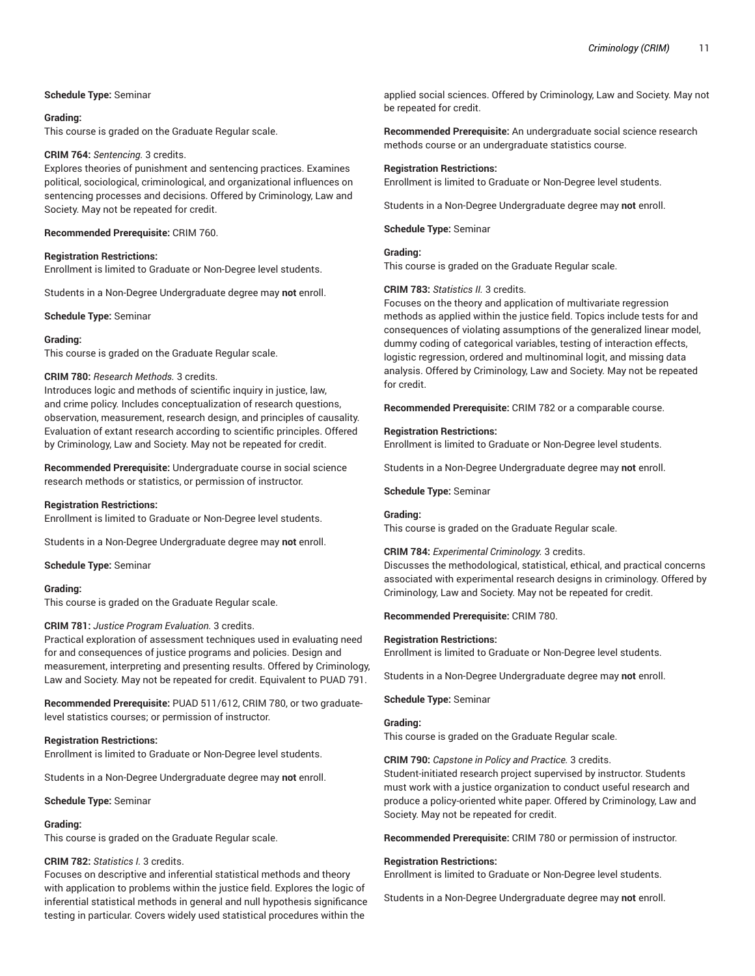## **Schedule Type:** Seminar

#### **Grading:**

This course is graded on the Graduate Regular scale.

#### **CRIM 764:** *Sentencing.* 3 credits.

Explores theories of punishment and sentencing practices. Examines political, sociological, criminological, and organizational influences on sentencing processes and decisions. Offered by Criminology, Law and Society. May not be repeated for credit.

#### **Recommended Prerequisite:** CRIM 760.

#### **Registration Restrictions:**

Enrollment is limited to Graduate or Non-Degree level students.

Students in a Non-Degree Undergraduate degree may **not** enroll.

**Schedule Type:** Seminar

#### **Grading:**

This course is graded on the Graduate Regular scale.

#### **CRIM 780:** *Research Methods.* 3 credits.

Introduces logic and methods of scientific inquiry in justice, law, and crime policy. Includes conceptualization of research questions, observation, measurement, research design, and principles of causality. Evaluation of extant research according to scientific principles. Offered by Criminology, Law and Society. May not be repeated for credit.

**Recommended Prerequisite:** Undergraduate course in social science research methods or statistics, or permission of instructor.

#### **Registration Restrictions:**

Enrollment is limited to Graduate or Non-Degree level students.

Students in a Non-Degree Undergraduate degree may **not** enroll.

**Schedule Type:** Seminar

# **Grading:**

This course is graded on the Graduate Regular scale.

# **CRIM 781:** *Justice Program Evaluation.* 3 credits.

Practical exploration of assessment techniques used in evaluating need for and consequences of justice programs and policies. Design and measurement, interpreting and presenting results. Offered by Criminology, Law and Society. May not be repeated for credit. Equivalent to PUAD 791.

**Recommended Prerequisite:** PUAD 511/612, CRIM 780, or two graduatelevel statistics courses; or permission of instructor.

# **Registration Restrictions:**

Enrollment is limited to Graduate or Non-Degree level students.

Students in a Non-Degree Undergraduate degree may **not** enroll.

**Schedule Type:** Seminar

# **Grading:**

This course is graded on the Graduate Regular scale.

# **CRIM 782:** *Statistics I.* 3 credits.

Focuses on descriptive and inferential statistical methods and theory with application to problems within the justice field. Explores the logic of inferential statistical methods in general and null hypothesis significance testing in particular. Covers widely used statistical procedures within the

applied social sciences. Offered by Criminology, Law and Society. May not be repeated for credit.

**Recommended Prerequisite:** An undergraduate social science research methods course or an undergraduate statistics course.

#### **Registration Restrictions:**

Enrollment is limited to Graduate or Non-Degree level students.

Students in a Non-Degree Undergraduate degree may **not** enroll.

**Schedule Type:** Seminar

#### **Grading:**

This course is graded on the Graduate Regular scale.

#### **CRIM 783:** *Statistics II.* 3 credits.

Focuses on the theory and application of multivariate regression methods as applied within the justice field. Topics include tests for and consequences of violating assumptions of the generalized linear model, dummy coding of categorical variables, testing of interaction effects, logistic regression, ordered and multinominal logit, and missing data analysis. Offered by Criminology, Law and Society. May not be repeated for credit.

**Recommended Prerequisite:** CRIM 782 or a comparable course.

#### **Registration Restrictions:**

Enrollment is limited to Graduate or Non-Degree level students.

Students in a Non-Degree Undergraduate degree may **not** enroll.

#### **Schedule Type:** Seminar

#### **Grading:**

This course is graded on the Graduate Regular scale.

#### **CRIM 784:** *Experimental Criminology.* 3 credits.

Discusses the methodological, statistical, ethical, and practical concerns associated with experimental research designs in criminology. Offered by Criminology, Law and Society. May not be repeated for credit.

# **Recommended Prerequisite:** CRIM 780.

#### **Registration Restrictions:**

Enrollment is limited to Graduate or Non-Degree level students.

Students in a Non-Degree Undergraduate degree may **not** enroll.

#### **Schedule Type:** Seminar

#### **Grading:**

This course is graded on the Graduate Regular scale.

**CRIM 790:** *Capstone in Policy and Practice.* 3 credits.

Student-initiated research project supervised by instructor. Students must work with a justice organization to conduct useful research and produce a policy-oriented white paper. Offered by Criminology, Law and Society. May not be repeated for credit.

**Recommended Prerequisite:** CRIM 780 or permission of instructor.

#### **Registration Restrictions:**

Enrollment is limited to Graduate or Non-Degree level students.

Students in a Non-Degree Undergraduate degree may **not** enroll.